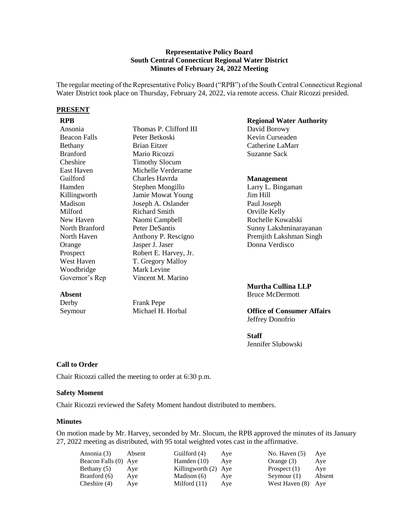## **Representative Policy Board South Central Connecticut Regional Water District Minutes of February 24, 2022 Meeting**

The regular meeting of the Representative Policy Board ("RPB") of the South Central Connecticut Regional Water District took place on Thursday, February 24, 2022, via remote access. Chair Ricozzi presided.

#### **PRESENT**

| Ansonia             | Thomas P. Clifford III   |
|---------------------|--------------------------|
| <b>Beacon Falls</b> | Peter Betkoski           |
| <b>Bethany</b>      | Brian Eitzer             |
| <b>Branford</b>     | Mario Ricozzi            |
| Cheshire            | <b>Timothy Slocum</b>    |
| <b>East Haven</b>   | Michelle Verderame       |
| Guilford            | Charles Havrda           |
| Hamden              | Stephen Mongillo         |
| Killingworth        | <b>Jamie Mowat Young</b> |
| Madison             | Joseph A. Oslander       |
| Milford             | <b>Richard Smith</b>     |
| New Haven           | Naomi Campbell           |
| North Branford      | Peter DeSantis           |
| North Haven         | Anthony P. Rescigno      |
| Orange              | Jasper J. Jaser          |
| Prospect            | Robert E. Harvey, Jr.    |
| West Haven          | T. Gregory Malloy        |
| Woodbridge          | Mark Levine              |
| Governor's Rep      | Vincent M. Marino        |
|                     |                          |

Frank Pepe Michael H. Horbal

# **RPB Regional Water Authority**

David Borowy Kevin Curseaden Catherine LaMarr Suzanne Sack

#### **Management**

Larry L. Bingaman Jim Hill Paul Joseph Orville Kelly Rochelle Kowalski Sunny Lakshminarayanan Premjith Lakshman Singh Donna Verdisco

#### **Murtha Cullina LLP**  Bruce McDermott

## **Office of Consumer Affairs** Jeffrey Donofrio

#### **Staff**

Jennifer Slubowski

## **Call to Order**

**Absent** Derby Seymour

Chair Ricozzi called the meeting to order at 6:30 p.m.

#### **Safety Moment**

Chair Ricozzi reviewed the Safety Moment handout distributed to members.

#### **Minutes**

On motion made by Mr. Harvey, seconded by Mr. Slocum, the RPB approved the minutes of its January 27, 2022 meeting as distributed, with 95 total weighted votes cast in the affirmative.

| Ansonia (3)          | Absent | Guilford (4)         | Ave | No. Haven $(5)$    | Ave    |
|----------------------|--------|----------------------|-----|--------------------|--------|
| Beacon Falls (0) Aye |        | Hamden $(10)$        | Ave | Orange $(3)$       | Aye    |
| Bethany (5)          | Ave    | Killingworth (2) Aye |     | Prospect $(1)$     | Aye    |
| Branford (6)         | Ave    | Madison (6)          | Ave | Seymour $(1)$      | Absent |
| Cheshire $(4)$       | Ave    | Milford $(11)$       | Ave | West Haven (8) Aye |        |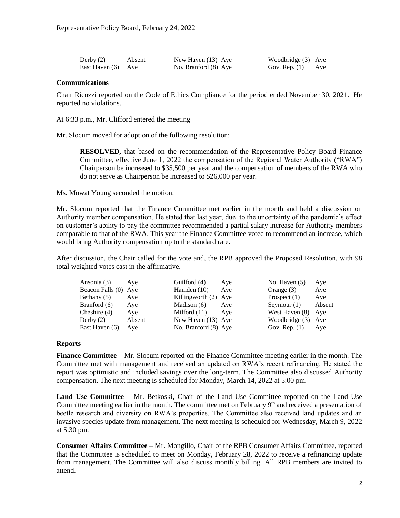| Derby $(2)$        | Absent | New Haven (13) Aye   | Woodbridge (3) Aye  |  |
|--------------------|--------|----------------------|---------------------|--|
| East Haven (6) Aye |        | No. Branford (8) Aye | Gov. Rep. $(1)$ Aye |  |

## **Communications**

Chair Ricozzi reported on the Code of Ethics Compliance for the period ended November 30, 2021. He reported no violations.

At 6:33 p.m., Mr. Clifford entered the meeting

Mr. Slocum moved for adoption of the following resolution:

**RESOLVED,** that based on the recommendation of the Representative Policy Board Finance Committee, effective June 1, 2022 the compensation of the Regional Water Authority ("RWA") Chairperson be increased to \$35,500 per year and the compensation of members of the RWA who do not serve as Chairperson be increased to \$26,000 per year.

Ms. Mowat Young seconded the motion.

Mr. Slocum reported that the Finance Committee met earlier in the month and held a discussion on Authority member compensation. He stated that last year, due to the uncertainty of the pandemic's effect on customer's ability to pay the committee recommended a partial salary increase for Authority members comparable to that of the RWA. This year the Finance Committee voted to recommend an increase, which would bring Authority compensation up to the standard rate.

After discussion, the Chair called for the vote and, the RPB approved the Proposed Resolution, with 98 total weighted votes cast in the affirmative.

| Ansonia (3)          | Ave    | Guilford (4)         | Aye | No. Haven $(5)$ | Aye    |
|----------------------|--------|----------------------|-----|-----------------|--------|
| Beacon Falls (0) Aye |        | Hamden $(10)$        | Ave | Orange $(3)$    | Aye    |
| Bethany (5)          | Aye    | Killingworth (2) Aye |     | Prospect $(1)$  | Aye    |
| Branford (6)         | Aye    | Madison (6)          | Ave | Seymour $(1)$   | Absent |
| Cheshire $(4)$       | Aye    | Milford $(11)$       | Ave | West Haven (8)  | Aye    |
| Derby $(2)$          | Absent | New Haven (13) Aye   |     | Woodbridge (3)  | Ave    |
| East Haven (6)       | Ave    | No. Branford (8) Aye |     | Gov. Rep. $(1)$ | Aye    |

#### **Reports**

**Finance Committee** – Mr. Slocum reported on the Finance Committee meeting earlier in the month. The Committee met with management and received an updated on RWA's recent refinancing. He stated the report was optimistic and included savings over the long-term. The Committee also discussed Authority compensation. The next meeting is scheduled for Monday, March 14, 2022 at 5:00 pm.

**Land Use Committee** – Mr. Betkoski, Chair of the Land Use Committee reported on the Land Use Committee meeting earlier in the month. The committee met on February  $9<sup>th</sup>$  and received a presentation of beetle research and diversity on RWA's properties. The Committee also received land updates and an invasive species update from management. The next meeting is scheduled for Wednesday, March 9, 2022 at 5:30 pm.

**Consumer Affairs Committee** – Mr. Mongillo, Chair of the RPB Consumer Affairs Committee, reported that the Committee is scheduled to meet on Monday, February 28, 2022 to receive a refinancing update from management. The Committee will also discuss monthly billing. All RPB members are invited to attend.